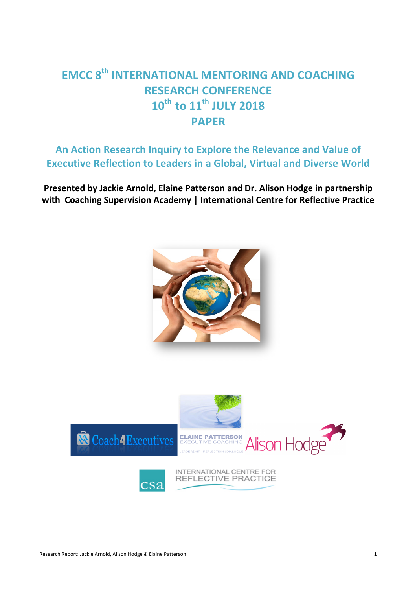# **EMCC 8<sup>th</sup> INTERNATIONAL MENTORING AND COACHING RESEARCH CONFERENCE** 10<sup>th</sup> to 11<sup>th</sup> JULY 2018 **PAPER**

# An Action Research Inquiry to Explore the Relevance and Value of **Executive Reflection to Leaders in a Global, Virtual and Diverse World**

Presented by Jackie Arnold, Elaine Patterson and Dr. Alison Hodge in partnership **with Coaching Supervision Academy | International Centre for Reflective Practice** 



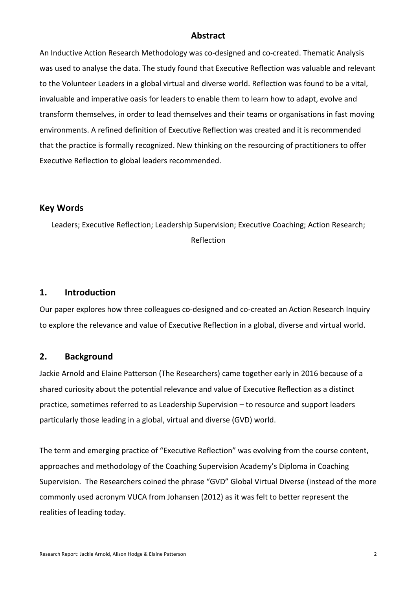# **Abstract**

An Inductive Action Research Methodology was co-designed and co-created. Thematic Analysis was used to analyse the data. The study found that Executive Reflection was valuable and relevant to the Volunteer Leaders in a global virtual and diverse world. Reflection was found to be a vital, invaluable and imperative oasis for leaders to enable them to learn how to adapt, evolve and transform themselves, in order to lead themselves and their teams or organisations in fast moving environments. A refined definition of Executive Reflection was created and it is recommended that the practice is formally recognized. New thinking on the resourcing of practitioners to offer Executive Reflection to global leaders recommended.

#### **Key Words**

Leaders; Executive Reflection; Leadership Supervision; Executive Coaching; Action Research; Reflection

#### **1. Introduction**

Our paper explores how three colleagues co-designed and co-created an Action Research Inquiry to explore the relevance and value of Executive Reflection in a global, diverse and virtual world.

#### 2. **Background**

Jackie Arnold and Elaine Patterson (The Researchers) came together early in 2016 because of a shared curiosity about the potential relevance and value of Executive Reflection as a distinct practice, sometimes referred to as Leadership Supervision – to resource and support leaders particularly those leading in a global, virtual and diverse (GVD) world.

The term and emerging practice of "Executive Reflection" was evolving from the course content, approaches and methodology of the Coaching Supervision Academy's Diploma in Coaching Supervision. The Researchers coined the phrase "GVD" Global Virtual Diverse (instead of the more commonly used acronym VUCA from Johansen (2012) as it was felt to better represent the realities of leading today.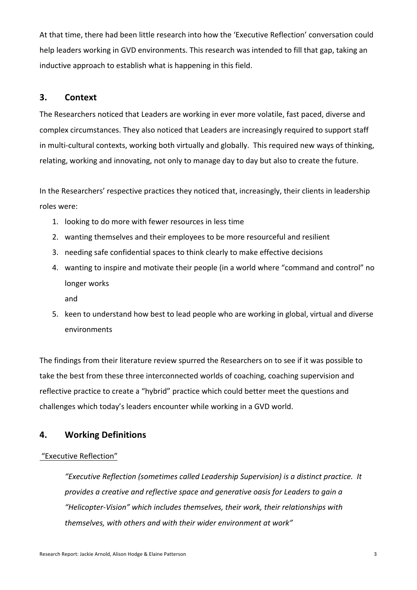At that time, there had been little research into how the 'Executive Reflection' conversation could help leaders working in GVD environments. This research was intended to fill that gap, taking an inductive approach to establish what is happening in this field.

# **3. Context**

The Researchers noticed that Leaders are working in ever more volatile, fast paced, diverse and complex circumstances. They also noticed that Leaders are increasingly required to support staff in multi-cultural contexts, working both virtually and globally. This required new ways of thinking, relating, working and innovating, not only to manage day to day but also to create the future.

In the Researchers' respective practices they noticed that, increasingly, their clients in leadership roles were:

- 1. looking to do more with fewer resources in less time
- 2. wanting themselves and their employees to be more resourceful and resilient
- 3. needing safe confidential spaces to think clearly to make effective decisions
- 4. wanting to inspire and motivate their people (in a world where "command and control" no longer works

and

5. keen to understand how best to lead people who are working in global, virtual and diverse environments 

The findings from their literature review spurred the Researchers on to see if it was possible to take the best from these three interconnected worlds of coaching, coaching supervision and reflective practice to create a "hybrid" practice which could better meet the questions and challenges which today's leaders encounter while working in a GVD world.

# **4. Working Definitions**

#### "Executive Reflection"

*"Executive Reflection (sometimes called Leadership Supervision) is a distinct practice. It provides a creative and reflective space and generative oasis for Leaders to gain a "Helicopter-Vision" which includes themselves, their work, their relationships with*  themselves, with others and with their wider environment at work"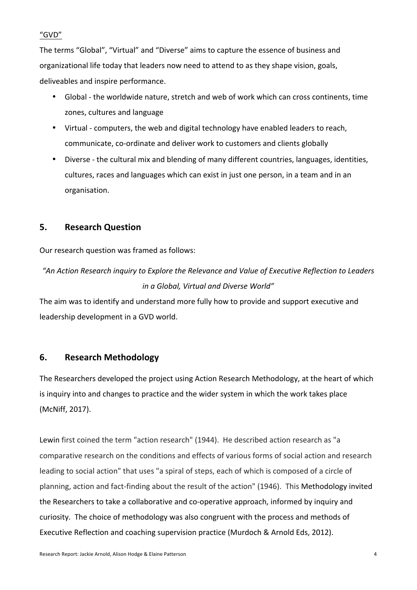## "GVD"

The terms "Global", "Virtual" and "Diverse" aims to capture the essence of business and organizational life today that leaders now need to attend to as they shape vision, goals, deliveables and inspire performance.

- Global the worldwide nature, stretch and web of work which can cross continents, time zones, cultures and language
- Virtual computers, the web and digital technology have enabled leaders to reach, communicate, co-ordinate and deliver work to customers and clients globally
- Diverse the cultural mix and blending of many different countries, languages, identities, cultures, races and languages which can exist in just one person, in a team and in an organisation.

# **5. Research Question**

Our research question was framed as follows:

*"An Action Research inquiry to Explore the Relevance and Value of Executive Reflection to Leaders in a Global, Virtual and Diverse World"*

The aim was to identify and understand more fully how to provide and support executive and leadership development in a GVD world.

# **6. Research Methodology**

The Researchers developed the project using Action Research Methodology, at the heart of which is inquiry into and changes to practice and the wider system in which the work takes place (McNiff, 2017).

Lewin first coined the term "action research" (1944). He described action research as "a comparative research on the conditions and effects of various forms of social action and research leading to social action" that uses "a spiral of steps, each of which is composed of a circle of planning, action and fact-finding about the result of the action" (1946). This Methodology invited the Researchers to take a collaborative and co-operative approach, informed by inquiry and curiosity. The choice of methodology was also congruent with the process and methods of Executive Reflection and coaching supervision practice (Murdoch & Arnold Eds, 2012).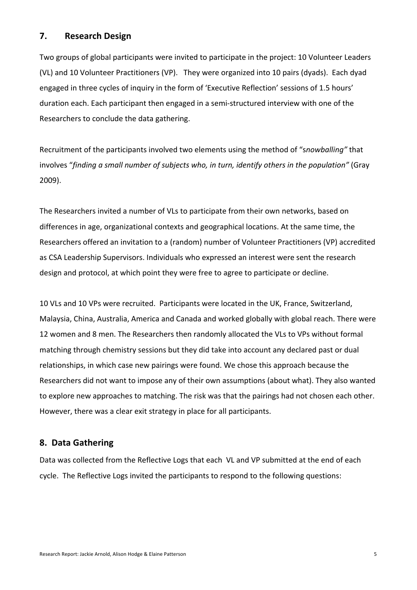# **7. Research Design**

Two groups of global participants were invited to participate in the project: 10 Volunteer Leaders (VL) and 10 Volunteer Practitioners (VP). They were organized into 10 pairs (dyads). Each dyad engaged in three cycles of inquiry in the form of 'Executive Reflection' sessions of 1.5 hours' duration each. Each participant then engaged in a semi-structured interview with one of the Researchers to conclude the data gathering.

Recruitment of the participants involved two elements using the method of "snowballing" that involves "finding a small number of subjects who, in turn, identify others in the population" (Gray 2009). 

The Researchers invited a number of VLs to participate from their own networks, based on differences in age, organizational contexts and geographical locations. At the same time, the Researchers offered an invitation to a (random) number of Volunteer Practitioners (VP) accredited as CSA Leadership Supervisors. Individuals who expressed an interest were sent the research design and protocol, at which point they were free to agree to participate or decline.

10 VLs and 10 VPs were recruited. Participants were located in the UK, France, Switzerland, Malaysia, China, Australia, America and Canada and worked globally with global reach. There were 12 women and 8 men. The Researchers then randomly allocated the VLs to VPs without formal matching through chemistry sessions but they did take into account any declared past or dual relationships, in which case new pairings were found. We chose this approach because the Researchers did not want to impose any of their own assumptions (about what). They also wanted to explore new approaches to matching. The risk was that the pairings had not chosen each other. However, there was a clear exit strategy in place for all participants.

# **8. Data Gathering**

Data was collected from the Reflective Logs that each VL and VP submitted at the end of each cycle. The Reflective Logs invited the participants to respond to the following questions: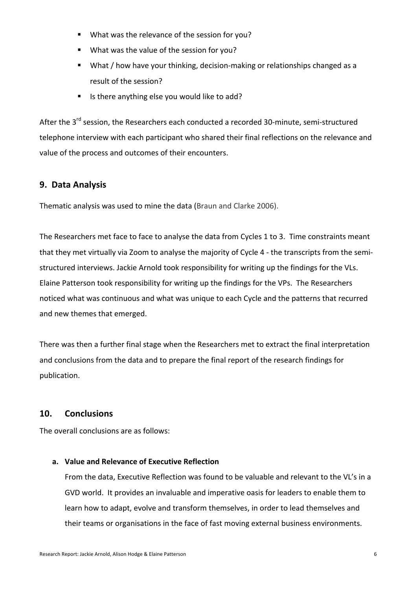- What was the relevance of the session for you?
- What was the value of the session for you?
- What / how have your thinking, decision-making or relationships changed as a result of the session?
- Is there anything else you would like to add?

After the 3<sup>rd</sup> session, the Researchers each conducted a recorded 30-minute, semi-structured telephone interview with each participant who shared their final reflections on the relevance and value of the process and outcomes of their encounters.

# **9. Data Analysis**

Thematic analysis was used to mine the data (Braun and Clarke 2006).

The Researchers met face to face to analyse the data from Cycles 1 to 3. Time constraints meant that they met virtually via Zoom to analyse the majority of Cycle 4 - the transcripts from the semistructured interviews. Jackie Arnold took responsibility for writing up the findings for the VLs. Elaine Patterson took responsibility for writing up the findings for the VPs. The Researchers noticed what was continuous and what was unique to each Cycle and the patterns that recurred and new themes that emerged.

There was then a further final stage when the Researchers met to extract the final interpretation and conclusions from the data and to prepare the final report of the research findings for publication. 

# **10. Conclusions**

The overall conclusions are as follows:

# a. Value and Relevance of Executive Reflection

From the data, Executive Reflection was found to be valuable and relevant to the VL's in a GVD world. It provides an invaluable and imperative oasis for leaders to enable them to learn how to adapt, evolve and transform themselves, in order to lead themselves and their teams or organisations in the face of fast moving external business environments.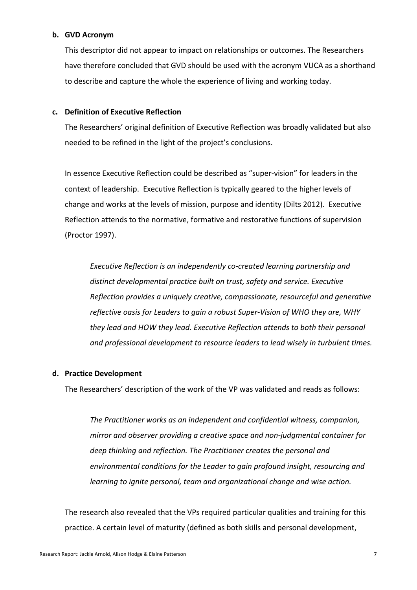#### **b. GVD Acronym**

This descriptor did not appear to impact on relationships or outcomes. The Researchers have therefore concluded that GVD should be used with the acronym VUCA as a shorthand to describe and capture the whole the experience of living and working today.

#### **c. Definition of Executive Reflection**

The Researchers' original definition of Executive Reflection was broadly validated but also needed to be refined in the light of the project's conclusions.

In essence Executive Reflection could be described as "super-vision" for leaders in the context of leadership. Executive Reflection is typically geared to the higher levels of change and works at the levels of mission, purpose and identity (Dilts 2012). Executive Reflection attends to the normative, formative and restorative functions of supervision (Proctor 1997).

Executive Reflection is an independently co-created learning partnership and distinct developmental practice built on trust, safety and service. Executive *Reflection provides a uniquely creative, compassionate, resourceful and generative* reflective oasis for Leaders to gain a robust Super-Vision of WHO they are, WHY *they lead and HOW they lead. Executive Reflection attends to both their personal* and professional development to resource leaders to lead wisely in turbulent times.

#### **d. Practice Development**

The Researchers' description of the work of the VP was validated and reads as follows:

The Practitioner works as an independent and confidential witness, companion, *mirror* and observer providing a creative space and non-judgmental container for deep thinking and reflection. The Practitioner creates the personal and environmental conditions for the Leader to gain profound insight, resourcing and *learning to ignite personal, team and organizational change and wise action.* 

The research also revealed that the VPs required particular qualities and training for this practice. A certain level of maturity (defined as both skills and personal development,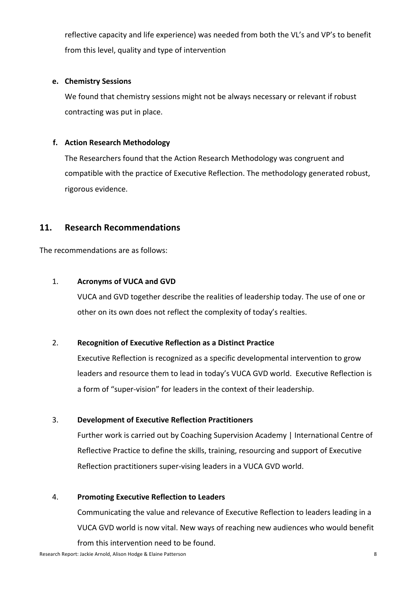reflective capacity and life experience) was needed from both the VL's and VP's to benefit from this level, quality and type of intervention

#### **e. Chemistry Sessions**

We found that chemistry sessions might not be always necessary or relevant if robust contracting was put in place.

# **f.** Action Research Methodology

The Researchers found that the Action Research Methodology was congruent and compatible with the practice of Executive Reflection. The methodology generated robust, rigorous evidence.

# **11. Research Recommendations**

The recommendations are as follows:

## 1. **Acronyms of VUCA and GVD**

VUCA and GVD together describe the realities of leadership today. The use of one or other on its own does not reflect the complexity of today's realties.

#### 2. **Recognition of Executive Reflection as a Distinct Practice**

Executive Reflection is recognized as a specific developmental intervention to grow leaders and resource them to lead in today's VUCA GVD world. Executive Reflection is a form of "super-vision" for leaders in the context of their leadership.

#### 3. **Development of Executive Reflection Practitioners**

Further work is carried out by Coaching Supervision Academy | International Centre of Reflective Practice to define the skills, training, resourcing and support of Executive Reflection practitioners super-vising leaders in a VUCA GVD world.

#### 4. **Promoting Executive Reflection to Leaders**

Communicating the value and relevance of Executive Reflection to leaders leading in a VUCA GVD world is now vital. New ways of reaching new audiences who would benefit from this intervention need to be found.